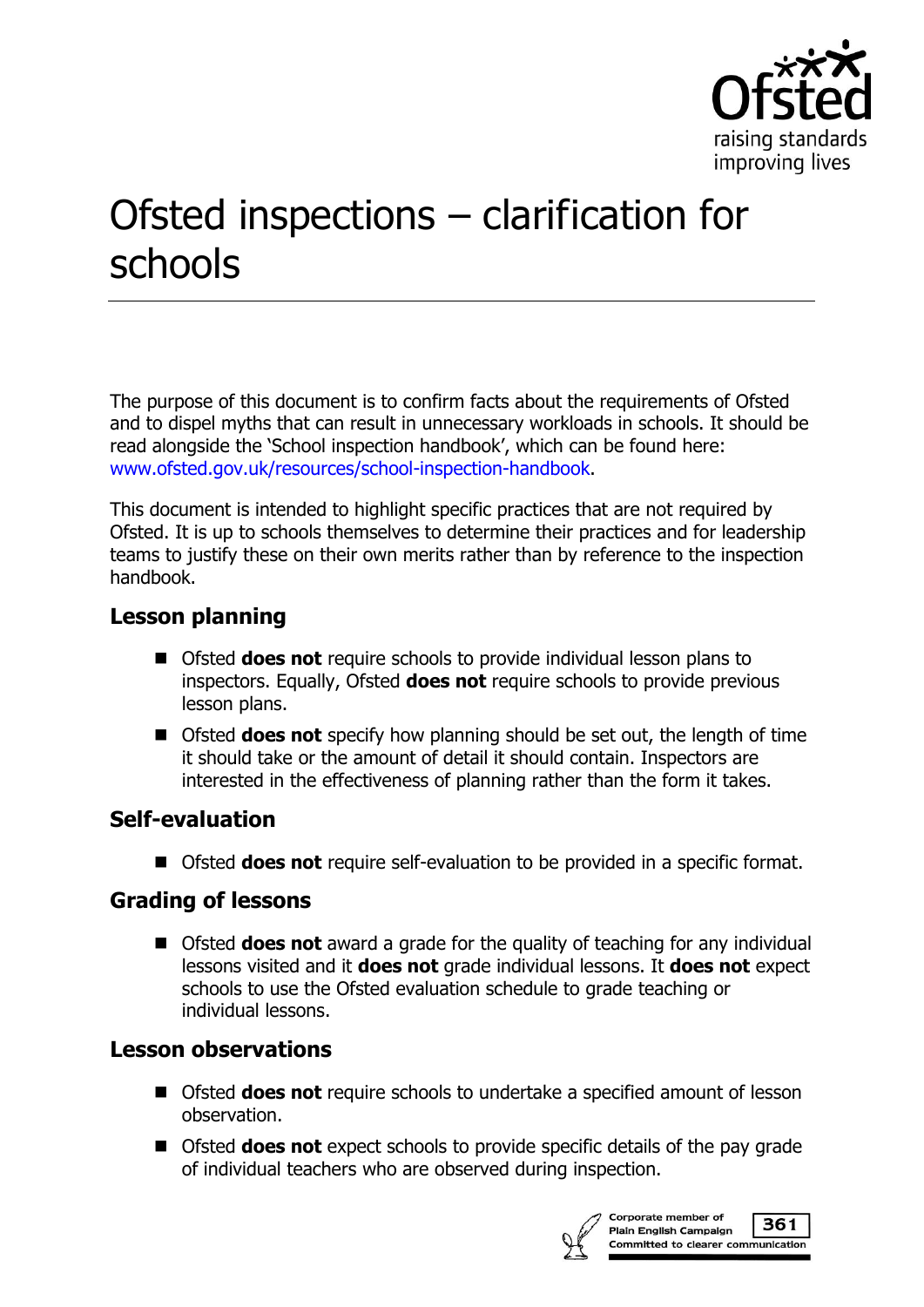

# Ofsted inspections – clarification for schools

The purpose of this document is to confirm facts about the requirements of Ofsted and to dispel myths that can result in unnecessary workloads in schools. It should be read alongside the 'School inspection handbook', which can be found here: [www.ofsted.gov.uk/resources/school-inspection-handbook.](http://www.ofsted.gov.uk/resources/school-inspection-handbook)

This document is intended to highlight specific practices that are not required by Ofsted. It is up to schools themselves to determine their practices and for leadership teams to justify these on their own merits rather than by reference to the inspection handbook.

## **Lesson planning**

- Ofsted **does not** require schools to provide individual lesson plans to inspectors. Equally, Ofsted **does not** require schools to provide previous lesson plans.
- Ofsted **does not** specify how planning should be set out, the length of time it should take or the amount of detail it should contain. Inspectors are interested in the effectiveness of planning rather than the form it takes.

### **Self-evaluation**

■ Ofsted **does not** require self-evaluation to be provided in a specific format.

### **Grading of lessons**

■ Ofsted **does not** award a grade for the quality of teaching for any individual lessons visited and it **does not** grade individual lessons. It **does not** expect schools to use the Ofsted evaluation schedule to grade teaching or individual lessons.

## **Lesson observations**

- Ofsted **does not** require schools to undertake a specified amount of lesson observation.
- Ofsted **does not** expect schools to provide specific details of the pay grade of individual teachers who are observed during inspection.